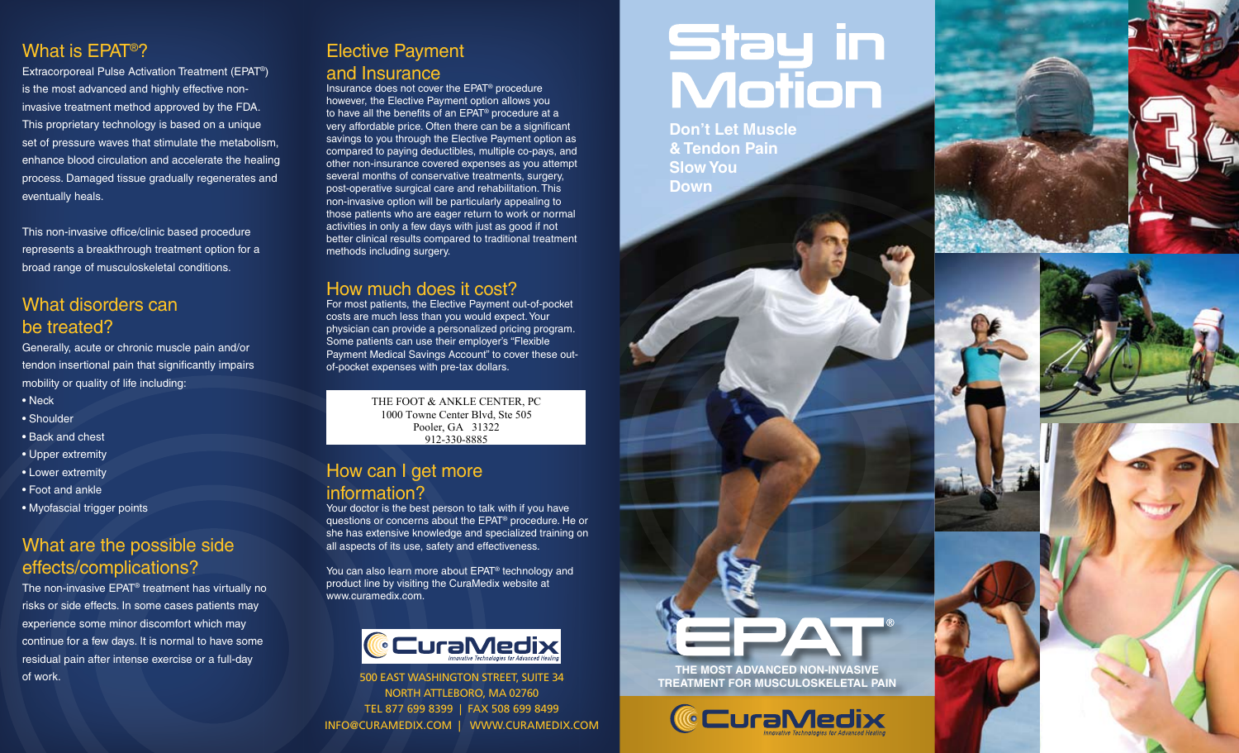## What is EPAT®?

Extracorporeal Pulse Activation Treatment (EPAT®) is the most advanced and highly effective noninvasive treatment method approved by the FDA. This proprietary technology is based on a unique set of pressure waves that stimulate the metabolism, enhance blood circulation and accelerate the healing process. Damaged tissue gradually regenerates and eventually heals.

This non-invasive office/clinic based procedure represents a breakthrough treatment option for a broad range of musculoskeletal conditions.

#### What disorders can be treated?

Generally, acute or chronic muscle pain and/or tendon insertional pain that significantly impairs mobility or quality of life including: • Neck

- Shoulder
- Back and chest
- Upper extremity
- Lower extremity
- Foot and ankle
- Myofascial trigger points

## What are the possible side effects/complications?

The non-invasive EPAT® treatment has virtually no risks or side effects. In some cases patients may experience some minor discomfort which may continue for a few days. It is normal to have some residual pain after intense exercise or a full-day of work.

### Elective Payment and Insurance

Insurance does not cover the EPAT® procedure however, the Elective Payment option allows you to have all the benefits of an EPAT® procedure at a very affordable price. Often there can be a significant savings to you through the Elective Payment option as compared to paying deductibles, multiple co-pays, and other non-insurance covered expenses as you attempt several months of conservative treatments, surgery, post-operative surgical care and rehabilitation. This non-invasive option will be particularly appealing to those patients who are eager return to work or normal activities in only a few days with just as good if not better clinical results compared to traditional treatment methods including surgery.

### How much does it cost?

For most patients, the Elective Payment out-of-pocket costs are much less than you would expect. Your physician can provide a personalized pricing program. Some patients can use their employer's "Flexible Payment Medical Savings Account" to cover these outof-pocket expenses with pre-tax dollars.

> THE FOOT & ANKLE CENTER, PC 1000 Towne Center Blvd, Ste 505 Pooler, GA 31322 912-330-8885

### How can I get more information?

Your doctor is the best person to talk with if you have questions or concerns about the EPAT® procedure. He or she has extensive knowledge and specialized training on all aspects of its use, safety and effectiveness.

You can also learn more about EPAT® technology and product line by visiting the CuraMedix website at www.curamedix.com.



500 EAST WASHINGTON STREET, SUITE 34 NORTH ATTLEBORO, MA 02760 TEL 877 699 8399 | FAX 508 699 8499 INFO@CURAMEDIX.COM | WWW.CURAMEDIX.COM

# Stay in<br>Motion

**Don't Let Muscle & Tendon Pain Slow You Down**



**THE MOST ADVANCED NON-INVASIVE TREATMENT FOR MUSCULOSKELETAL PAIN**